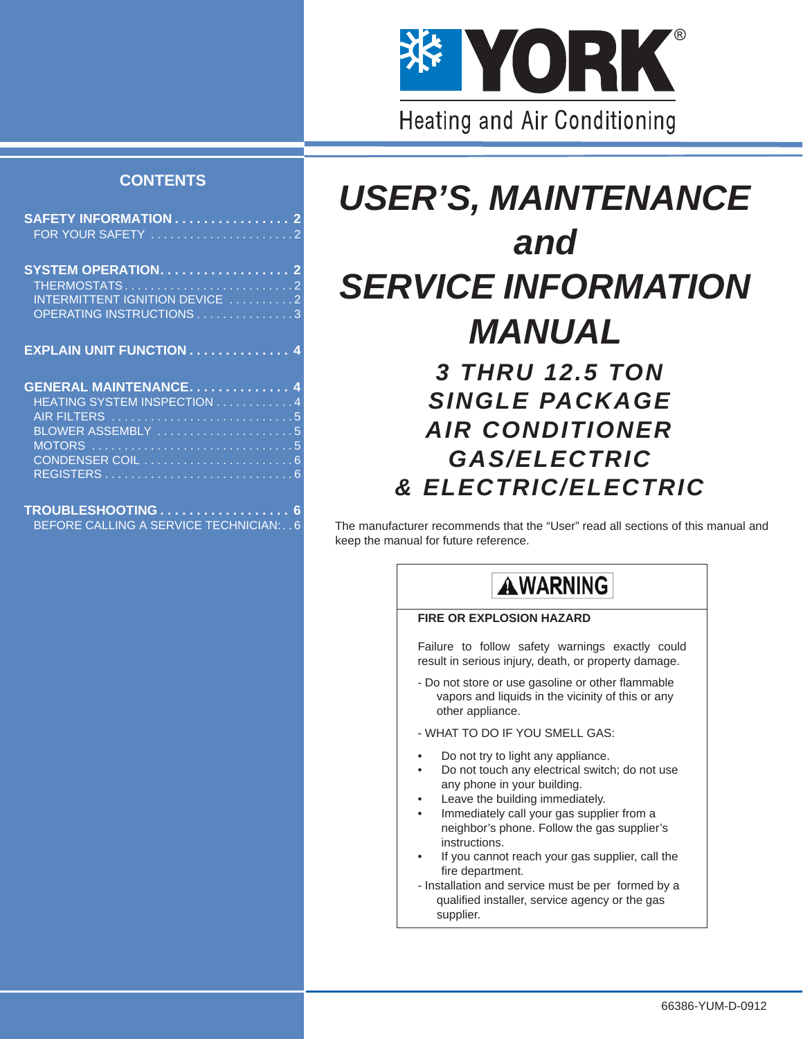

## **CONTENTS**

| SAFETY INFORMATION 2           |  |
|--------------------------------|--|
|                                |  |
|                                |  |
| SYSTEM OPERATION. 2            |  |
|                                |  |
| INTERMITTENT IGNITION DEVICE 2 |  |
| OPERATING INSTRUCTIONS3        |  |
|                                |  |
| EXPLAIN UNIT FUNCTION 4        |  |
|                                |  |
|                                |  |
|                                |  |
| <b>GENERAL MAINTENANCE 4</b>   |  |
| HEATING SYSTEM INSPECTION 4    |  |
|                                |  |
| BLOWER ASSEMBLY 5              |  |
|                                |  |
|                                |  |
|                                |  |
| TROUBLESHOOTING 6              |  |

# *USER'S, MAINTENANCE and SERVICE INFORMATION MANUAL 3 THRU 12.5 TON SINGLE PACKAGE AIR CONDITIONER GAS/ELECTRIC*

The manufacturer recommends that the "User" read all sections of this manual and keep the manual for future reference.

*& ELECTRIC/ELECTRIC*

## **AWARNING**

## **FIRE OR EXPLOSION HAZARD**

Failure to follow safety warnings exactly could result in serious injury, death, or property damage.

- Do not store or use gasoline or other flammable vapors and liquids in the vicinity of this or any other appliance.

- WHAT TO DO IF YOU SMELL GAS:

- Do not try to light any appliance.
- Do not touch any electrical switch; do not use any phone in your building.
- Leave the building immediately.
- Immediately call your gas supplier from a neighbor's phone. Follow the gas supplier's instructions.
- If you cannot reach your gas supplier, call the fire department.
- Installation and service must be per formed by a qualified installer, service agency or the gas supplier.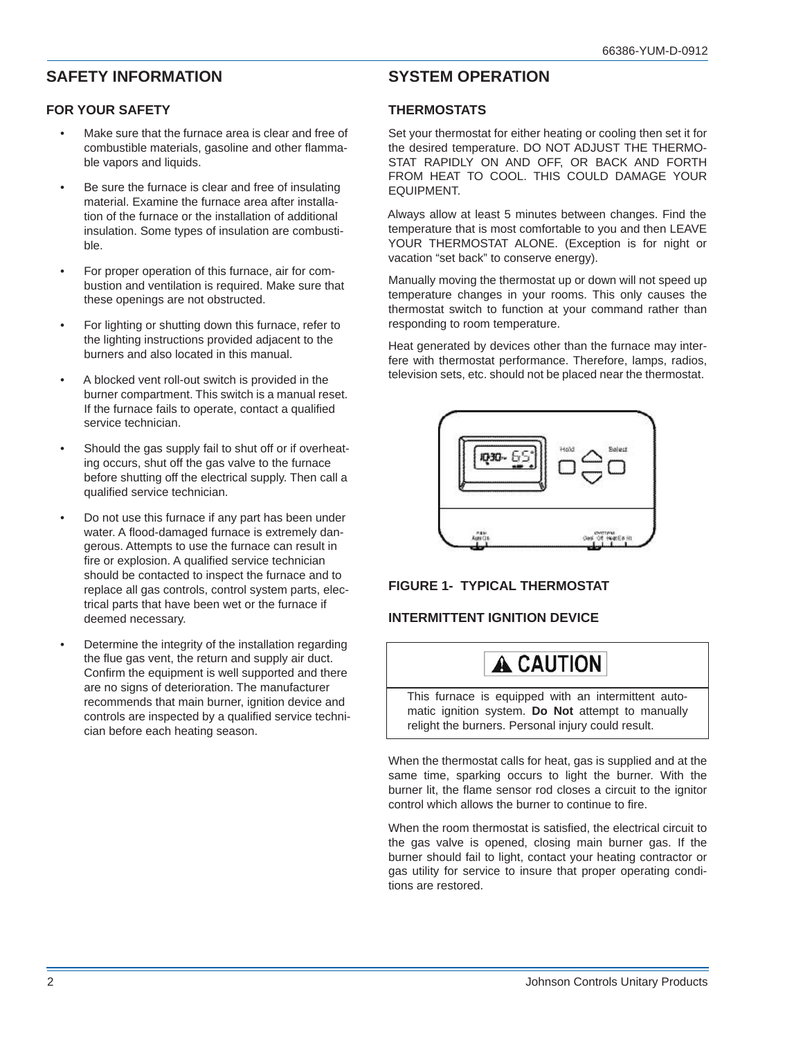## <span id="page-1-0"></span>**SAFETY INFORMATION**

## <span id="page-1-1"></span>**FOR YOUR SAFETY**

- Make sure that the furnace area is clear and free of combustible materials, gasoline and other flammable vapors and liquids.
- Be sure the furnace is clear and free of insulating material. Examine the furnace area after installation of the furnace or the installation of additional insulation. Some types of insulation are combustible.
- For proper operation of this furnace, air for combustion and ventilation is required. Make sure that these openings are not obstructed.
- For lighting or shutting down this furnace, refer to the lighting instructions provided adjacent to the burners and also located in this manual.
- A blocked vent roll-out switch is provided in the burner compartment. This switch is a manual reset. If the furnace fails to operate, contact a qualified service technician.
- Should the gas supply fail to shut off or if overheating occurs, shut off the gas valve to the furnace before shutting off the electrical supply. Then call a qualified service technician.
- Do not use this furnace if any part has been under water. A flood-damaged furnace is extremely dangerous. Attempts to use the furnace can result in fire or explosion. A qualified service technician should be contacted to inspect the furnace and to replace all gas controls, control system parts, electrical parts that have been wet or the furnace if deemed necessary.
- Determine the integrity of the installation regarding the flue gas vent, the return and supply air duct. Confirm the equipment is well supported and there are no signs of deterioration. The manufacturer recommends that main burner, ignition device and controls are inspected by a qualified service technician before each heating season.

## <span id="page-1-2"></span>**SYSTEM OPERATION**

## <span id="page-1-3"></span>**THERMOSTATS**

Set your thermostat for either heating or cooling then set it for the desired temperature. DO NOT ADJUST THE THERMO-STAT RAPIDLY ON AND OFF, OR BACK AND FORTH FROM HEAT TO COOL. THIS COULD DAMAGE YOUR EQUIPMENT.

Always allow at least 5 minutes between changes. Find the temperature that is most comfortable to you and then LEAVE YOUR THERMOSTAT ALONE. (Exception is for night or vacation "set back" to conserve energy).

Manually moving the thermostat up or down will not speed up temperature changes in your rooms. This only causes the thermostat switch to function at your command rather than responding to room temperature.

Heat generated by devices other than the furnace may interfere with thermostat performance. Therefore, lamps, radios, television sets, etc. should not be placed near the thermostat.



## **FIGURE 1- TYPICAL THERMOSTAT**

## <span id="page-1-4"></span>**INTERMITTENT IGNITION DEVICE**

## A CAUTION

This furnace is equipped with an intermittent automatic ignition system. **Do Not** attempt to manually relight the burners. Personal injury could result.

When the thermostat calls for heat, gas is supplied and at the same time, sparking occurs to light the burner. With the burner lit, the flame sensor rod closes a circuit to the ignitor control which allows the burner to continue to fire.

When the room thermostat is satisfied, the electrical circuit to the gas valve is opened, closing main burner gas. If the burner should fail to light, contact your heating contractor or gas utility for service to insure that proper operating conditions are restored.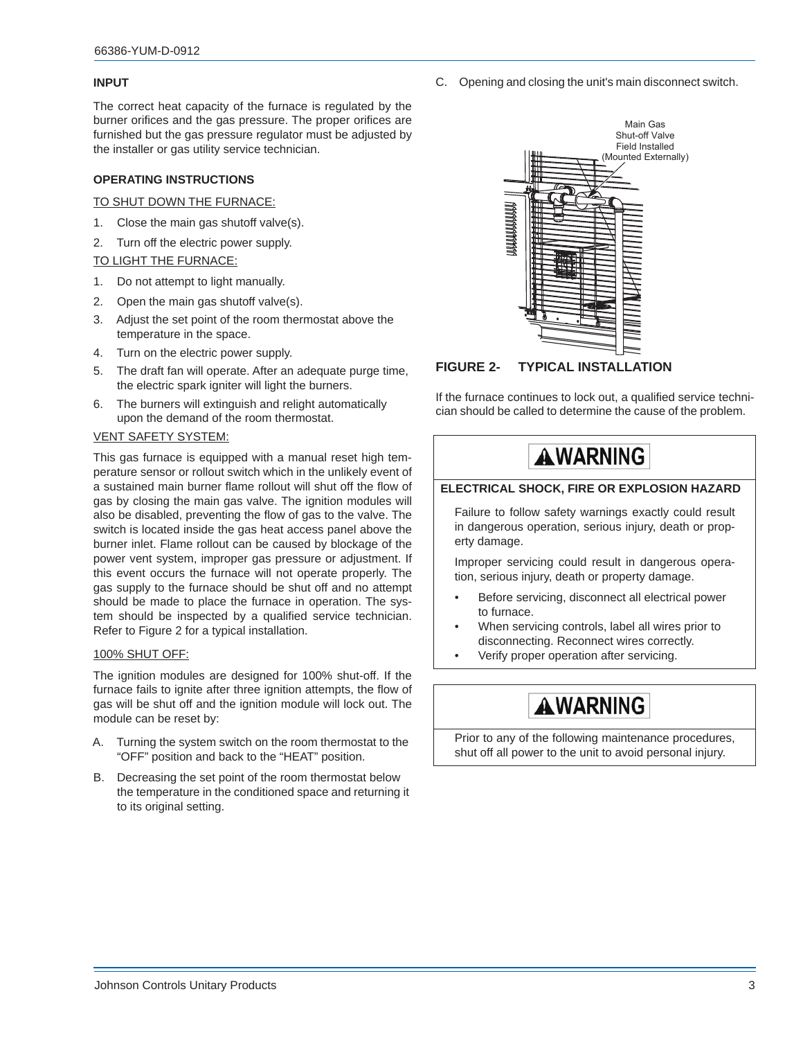### **INPUT**

The correct heat capacity of the furnace is regulated by the burner orifices and the gas pressure. The proper orifices are furnished but the gas pressure regulator must be adjusted by the installer or gas utility service technician.

### <span id="page-2-0"></span>**OPERATING INSTRUCTIONS**

### TO SHUT DOWN THE FURNACE:

- 1. Close the main gas shutoff valve(s).
- 2. Turn off the electric power supply.

### TO LIGHT THE FURNACE:

- 1. Do not attempt to light manually.
- 2. Open the main gas shutoff valve(s).
- 3. Adjust the set point of the room thermostat above the temperature in the space.
- 4. Turn on the electric power supply.
- 5. The draft fan will operate. After an adequate purge time, the electric spark igniter will light the burners.
- 6. The burners will extinguish and relight automatically upon the demand of the room thermostat.

#### VENT SAFETY SYSTEM:

This gas furnace is equipped with a manual reset high temperature sensor or rollout switch which in the unlikely event of a sustained main burner flame rollout will shut off the flow of gas by closing the main gas valve. The ignition modules will also be disabled, preventing the flow of gas to the valve. The switch is located inside the gas heat access panel above the burner inlet. Flame rollout can be caused by blockage of the power vent system, improper gas pressure or adjustment. If this event occurs the furnace will not operate properly. The gas supply to the furnace should be shut off and no attempt should be made to place the furnace in operation. The system should be inspected by a qualified service technician. Refer to Figure 2 for a typical installation.

#### 100% SHUT OFF:

The ignition modules are designed for 100% shut-off. If the furnace fails to ignite after three ignition attempts, the flow of gas will be shut off and the ignition module will lock out. The module can be reset by:

- A. Turning the system switch on the room thermostat to the "OFF" position and back to the "HEAT" position.
- B. Decreasing the set point of the room thermostat below the temperature in the conditioned space and returning it to its original setting.

C. Opening and closing the unit's main disconnect switch.



## **FIGURE 2- TYPICAL INSTALLATION**

If the furnace continues to lock out, a qualified service technician should be called to determine the cause of the problem.



## **ELECTRICAL SHOCK, FIRE OR EXPLOSION HAZARD**

Failure to follow safety warnings exactly could result in dangerous operation, serious injury, death or property damage.

Improper servicing could result in dangerous operation, serious injury, death or property damage.

- Before servicing, disconnect all electrical power to furnace.
- When servicing controls, label all wires prior to disconnecting. Reconnect wires correctly.
- Verify proper operation after servicing.

## **AWARNING**

Prior to any of the following maintenance procedures, shut off all power to the unit to avoid personal injury.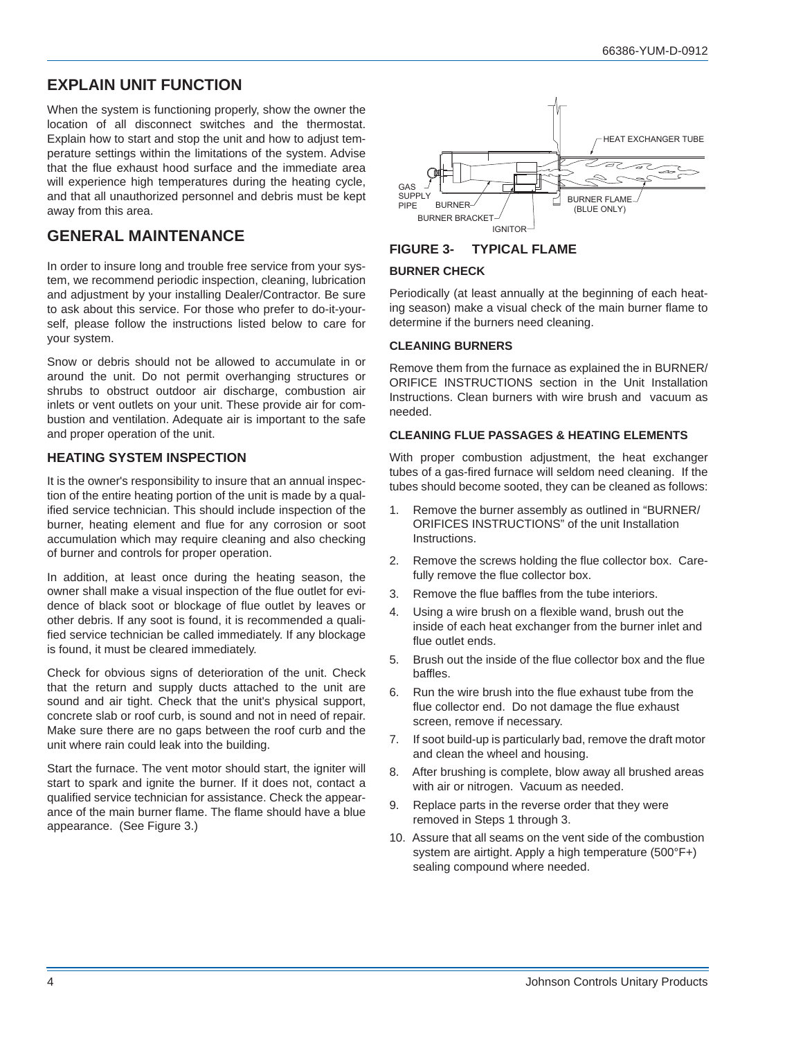## <span id="page-3-0"></span>**EXPLAIN UNIT FUNCTION**

When the system is functioning properly, show the owner the location of all disconnect switches and the thermostat. Explain how to start and stop the unit and how to adjust temperature settings within the limitations of the system. Advise that the flue exhaust hood surface and the immediate area will experience high temperatures during the heating cycle, and that all unauthorized personnel and debris must be kept away from this area.

## <span id="page-3-1"></span>**GENERAL MAINTENANCE**

In order to insure long and trouble free service from your system, we recommend periodic inspection, cleaning, lubrication and adjustment by your installing Dealer/Contractor. Be sure to ask about this service. For those who prefer to do-it-yourself, please follow the instructions listed below to care for your system.

Snow or debris should not be allowed to accumulate in or around the unit. Do not permit overhanging structures or shrubs to obstruct outdoor air discharge, combustion air inlets or vent outlets on your unit. These provide air for combustion and ventilation. Adequate air is important to the safe and proper operation of the unit.

## <span id="page-3-2"></span>**HEATING SYSTEM INSPECTION**

It is the owner's responsibility to insure that an annual inspection of the entire heating portion of the unit is made by a qualified service technician. This should include inspection of the burner, heating element and flue for any corrosion or soot accumulation which may require cleaning and also checking of burner and controls for proper operation.

In addition, at least once during the heating season, the owner shall make a visual inspection of the flue outlet for evidence of black soot or blockage of flue outlet by leaves or other debris. If any soot is found, it is recommended a qualified service technician be called immediately. If any blockage is found, it must be cleared immediately.

Check for obvious signs of deterioration of the unit. Check that the return and supply ducts attached to the unit are sound and air tight. Check that the unit's physical support, concrete slab or roof curb, is sound and not in need of repair. Make sure there are no gaps between the roof curb and the unit where rain could leak into the building.

Start the furnace. The vent motor should start, the igniter will start to spark and ignite the burner. If it does not, contact a qualified service technician for assistance. Check the appearance of the main burner flame. The flame should have a blue appearance. (See Figure 3.)



## **FIGURE 3- TYPICAL FLAME**

## **BURNER CHECK**

Periodically (at least annually at the beginning of each heating season) make a visual check of the main burner flame to determine if the burners need cleaning.

## **CLEANING BURNERS**

Remove them from the furnace as explained the in BURNER/ ORIFICE INSTRUCTIONS section in the Unit Installation Instructions. Clean burners with wire brush and vacuum as needed.

## **CLEANING FLUE PASSAGES & HEATING ELEMENTS**

With proper combustion adjustment, the heat exchanger tubes of a gas-fired furnace will seldom need cleaning. If the tubes should become sooted, they can be cleaned as follows:

- 1. Remove the burner assembly as outlined in "BURNER/ ORIFICES INSTRUCTIONS" of the unit Installation Instructions.
- 2. Remove the screws holding the flue collector box. Carefully remove the flue collector box.
- 3. Remove the flue baffles from the tube interiors.
- 4. Using a wire brush on a flexible wand, brush out the inside of each heat exchanger from the burner inlet and flue outlet ends.
- 5. Brush out the inside of the flue collector box and the flue baffles.
- 6. Run the wire brush into the flue exhaust tube from the flue collector end. Do not damage the flue exhaust screen, remove if necessary.
- 7. If soot build-up is particularly bad, remove the draft motor and clean the wheel and housing.
- 8. After brushing is complete, blow away all brushed areas with air or nitrogen. Vacuum as needed.
- 9. Replace parts in the reverse order that they were removed in Steps 1 through 3.
- 10. Assure that all seams on the vent side of the combustion system are airtight. Apply a high temperature (500°F+) sealing compound where needed.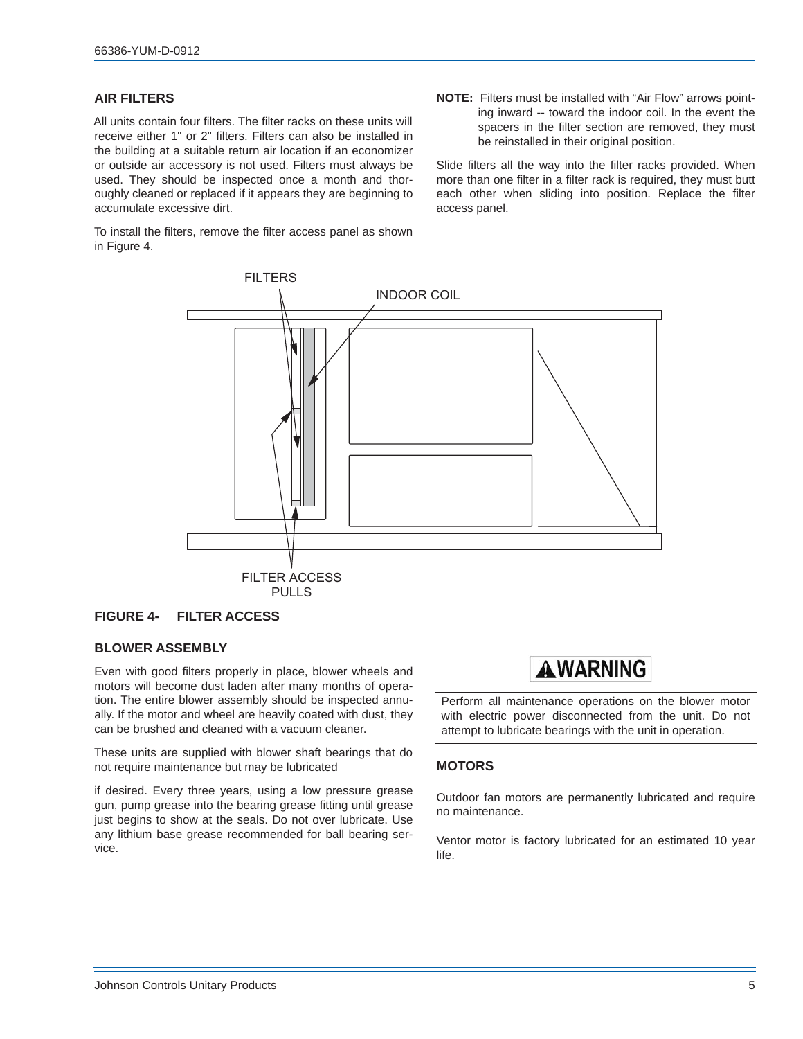## <span id="page-4-0"></span>**AIR FILTERS**

All units contain four filters. The filter racks on these units will receive either 1" or 2" filters. Filters can also be installed in the building at a suitable return air location if an economizer or outside air accessory is not used. Filters must always be used. They should be inspected once a month and thoroughly cleaned or replaced if it appears they are beginning to accumulate excessive dirt.

To install the filters, remove the filter access panel as shown in Figure 4.

**NOTE:** Filters must be installed with "Air Flow" arrows pointing inward -- toward the indoor coil. In the event the spacers in the filter section are removed, they must be reinstalled in their original position.

Slide filters all the way into the filter racks provided. When more than one filter in a filter rack is required, they must butt each other when sliding into position. Replace the filter access panel.



## **FIGURE 4- FILTER ACCESS**

#### <span id="page-4-1"></span>**BLOWER ASSEMBLY**

Even with good filters properly in place, blower wheels and motors will become dust laden after many months of operation. The entire blower assembly should be inspected annually. If the motor and wheel are heavily coated with dust, they can be brushed and cleaned with a vacuum cleaner.

These units are supplied with blower shaft bearings that do not require maintenance but may be lubricated

if desired. Every three years, using a low pressure grease gun, pump grease into the bearing grease fitting until grease just begins to show at the seals. Do not over lubricate. Use any lithium base grease recommended for ball bearing service.



Perform all maintenance operations on the blower motor with electric power disconnected from the unit. Do not attempt to lubricate bearings with the unit in operation.

## <span id="page-4-2"></span>**MOTORS**

Outdoor fan motors are permanently lubricated and require no maintenance.

Ventor motor is factory lubricated for an estimated 10 year life.